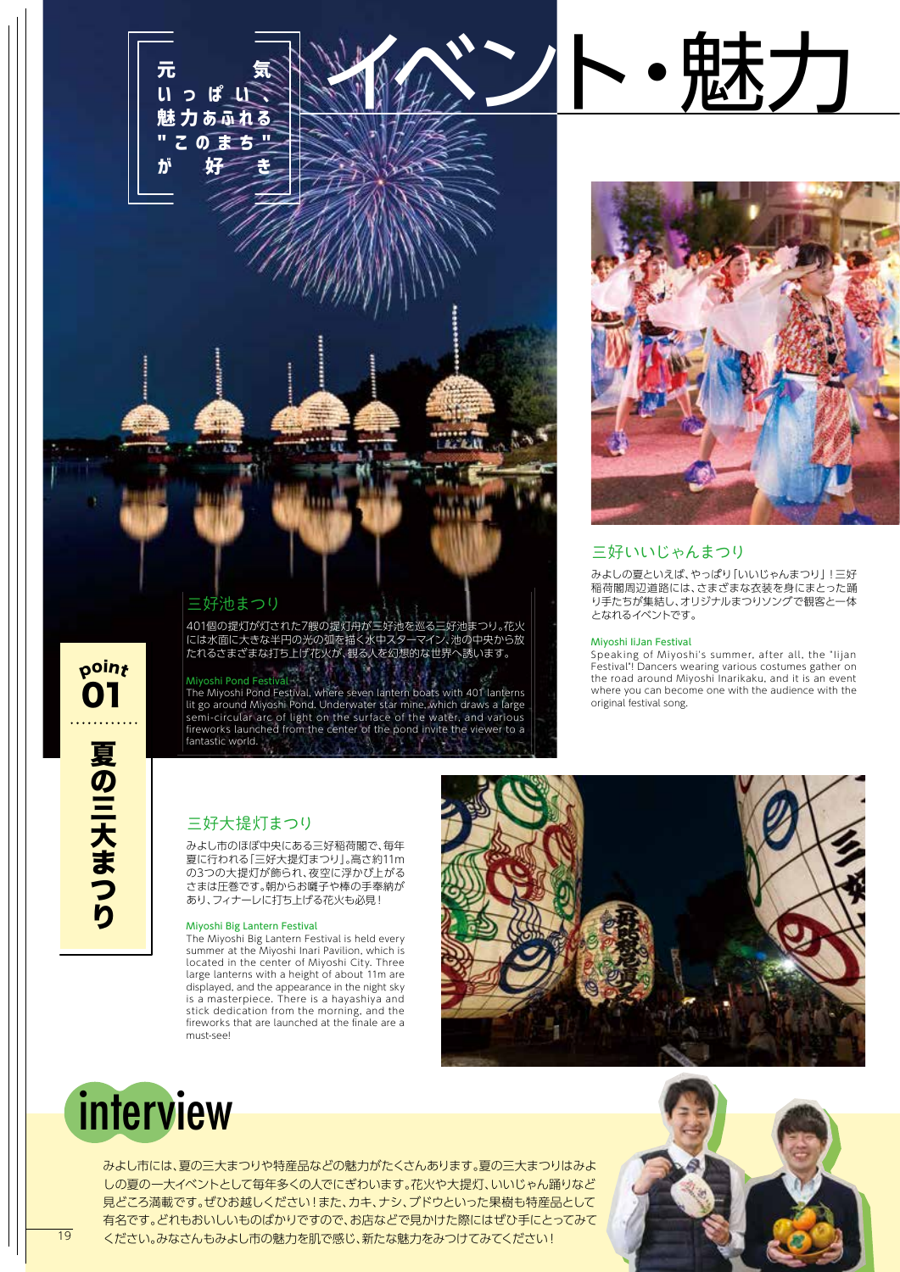



忠大力

# 三好いいじゃんまつり

みよしの夏といえば、やっぱり「いいじゃんまつり」!三好 稲荷閣周辺道路には、さまざまな衣装を身にまとった踊 り手たちが集結し、オリジナルまつりソングで観客と一体 となれるイベントです。

#### Miyoshi IiJan Festival

Speaking of Miyoshi's summer, after all, the "Iijan Festival"! Dancers wearing various costumes gather on the road around Miyoshi Inarikaku, and it is an event where you can become one with the audience with the original festival song.

## 三好池まつり

401個の提灯が灯された7艘の提灯舟が三好池を巡る三好池まつり。花火 には水面に大きな半円の光の弧を描く水中スターマイン、池の中央から放 たれるさまざまな打ち上げ花火が、観る人を幻想的な世界へ誘います。

### Miyoshi Pond Festival

poin<sub>t</sub>

01

The Miyoshi Pond Festival, where seven lantern boats with 401 lanterns lit go around Miyoshi Pond. Underwater star mine, which draws a large semi-circular arc of light on the surface of the water, and various fireworks launched from the center of the pond invite the viewer to a fantastic world.

## 三好大提灯まつり

みよし市のほぼ中央にある三好稲荷閣で、毎年 夏に行われる「三好大提灯まつり」。高さ約11m の3つの大提灯が飾られ、夜空に浮かび上がる さまは圧巻です。朝からお囃子や棒の手奉納が あり、フィナーレに打ち上げる花火も必見!

#### Miyoshi Big Lantern Festival

The Miyoshi Big Lantern Festival is held every summer at the Miyoshi Inari Pavilion, which is located in the center of Miyoshi City. Three large lanterns with a height of about 11m are displayed, and the appearance in the night sky is a masterpiece. There is a hayashiya and stick dedication from the morning, and the fireworks that are launched at the finale are a must-see!





みよし市には、夏の三大まつりや特産品などの魅力がたくさんあります。夏の三大まつりはみよ しの夏の一大イベントとして毎年多くの人でにぎわいます。花火や大提灯、いいじゃん踊りなど 見どころ満載です。ぜひお越しください!また、カキ、ナシ、ブドウといった果樹も特産品として 有名です。どれもおいしいものばかりですので、お店などで見かけた際にはぜひ手にとってみて 19 ください。みなさんもみよし市の魅力を肌で感じ、新たな魅力をみつけてみてください! シング アンディング アンディング アンダー・プレート